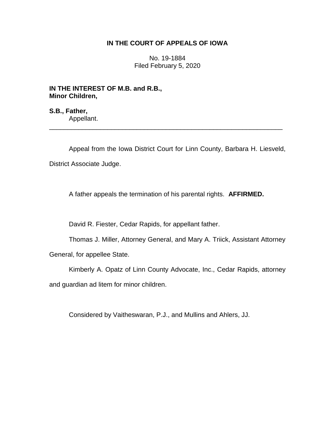# **IN THE COURT OF APPEALS OF IOWA**

No. 19-1884 Filed February 5, 2020

**IN THE INTEREST OF M.B. and R.B., Minor Children,**

**S.B., Father,** Appellant.

Appeal from the Iowa District Court for Linn County, Barbara H. Liesveld, District Associate Judge.

\_\_\_\_\_\_\_\_\_\_\_\_\_\_\_\_\_\_\_\_\_\_\_\_\_\_\_\_\_\_\_\_\_\_\_\_\_\_\_\_\_\_\_\_\_\_\_\_\_\_\_\_\_\_\_\_\_\_\_\_\_\_\_\_

A father appeals the termination of his parental rights. **AFFIRMED.**

David R. Fiester, Cedar Rapids, for appellant father.

Thomas J. Miller, Attorney General, and Mary A. Triick, Assistant Attorney

General, for appellee State.

Kimberly A. Opatz of Linn County Advocate, Inc., Cedar Rapids, attorney and guardian ad litem for minor children.

Considered by Vaitheswaran, P.J., and Mullins and Ahlers, JJ.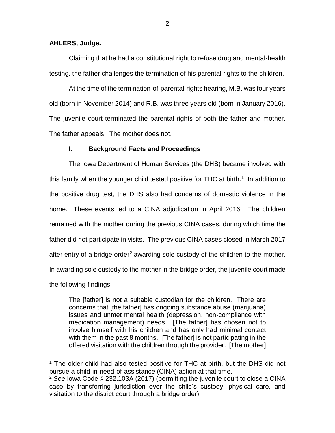### **AHLERS, Judge.**

 $\overline{a}$ 

Claiming that he had a constitutional right to refuse drug and mental-health testing, the father challenges the termination of his parental rights to the children.

At the time of the termination-of-parental-rights hearing, M.B. was four years old (born in November 2014) and R.B. was three years old (born in January 2016). The juvenile court terminated the parental rights of both the father and mother. The father appeals. The mother does not.

## **I. Background Facts and Proceedings**

The Iowa Department of Human Services (the DHS) became involved with this family when the younger child tested positive for THC at birth.<sup>1</sup> In addition to the positive drug test, the DHS also had concerns of domestic violence in the home. These events led to a CINA adjudication in April 2016. The children remained with the mother during the previous CINA cases, during which time the father did not participate in visits. The previous CINA cases closed in March 2017 after entry of a bridge order<sup>2</sup> awarding sole custody of the children to the mother. In awarding sole custody to the mother in the bridge order, the juvenile court made the following findings:

The [father] is not a suitable custodian for the children. There are concerns that [the father] has ongoing substance abuse (marijuana) issues and unmet mental health (depression, non-compliance with medication management) needs. [The father] has chosen not to involve himself with his children and has only had minimal contact with them in the past 8 months. [The father] is not participating in the offered visitation with the children through the provider. [The mother]

<sup>&</sup>lt;sup>1</sup> The older child had also tested positive for THC at birth, but the DHS did not pursue a child-in-need-of-assistance (CINA) action at that time.

<sup>2</sup> *See* Iowa Code § 232.103A (2017) (permitting the juvenile court to close a CINA case by transferring jurisdiction over the child's custody, physical care, and visitation to the district court through a bridge order).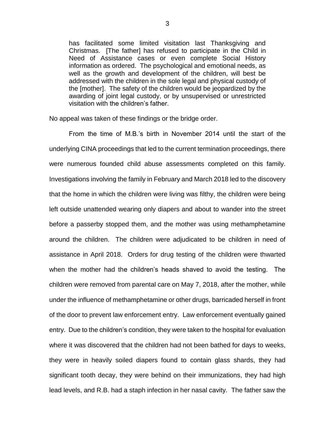has facilitated some limited visitation last Thanksgiving and Christmas. [The father] has refused to participate in the Child in Need of Assistance cases or even complete Social History information as ordered. The psychological and emotional needs, as well as the growth and development of the children, will best be addressed with the children in the sole legal and physical custody of the [mother]. The safety of the children would be jeopardized by the awarding of joint legal custody, or by unsupervised or unrestricted visitation with the children's father.

No appeal was taken of these findings or the bridge order.

From the time of M.B.'s birth in November 2014 until the start of the underlying CINA proceedings that led to the current termination proceedings, there were numerous founded child abuse assessments completed on this family. Investigations involving the family in February and March 2018 led to the discovery that the home in which the children were living was filthy, the children were being left outside unattended wearing only diapers and about to wander into the street before a passerby stopped them, and the mother was using methamphetamine around the children. The children were adjudicated to be children in need of assistance in April 2018. Orders for drug testing of the children were thwarted when the mother had the children's heads shaved to avoid the testing. The children were removed from parental care on May 7, 2018, after the mother, while under the influence of methamphetamine or other drugs, barricaded herself in front of the door to prevent law enforcement entry. Law enforcement eventually gained entry. Due to the children's condition, they were taken to the hospital for evaluation where it was discovered that the children had not been bathed for days to weeks, they were in heavily soiled diapers found to contain glass shards, they had significant tooth decay, they were behind on their immunizations, they had high lead levels, and R.B. had a staph infection in her nasal cavity. The father saw the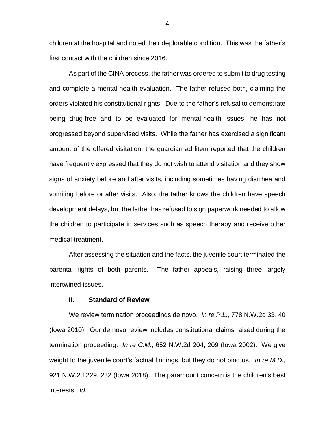children at the hospital and noted their deplorable condition. This was the father's first contact with the children since 2016.

As part of the CINA process, the father was ordered to submit to drug testing and complete a mental-health evaluation. The father refused both, claiming the orders violated his constitutional rights. Due to the father's refusal to demonstrate being drug-free and to be evaluated for mental-health issues, he has not progressed beyond supervised visits. While the father has exercised a significant amount of the offered visitation, the guardian ad litem reported that the children have frequently expressed that they do not wish to attend visitation and they show signs of anxiety before and after visits, including sometimes having diarrhea and vomiting before or after visits. Also, the father knows the children have speech development delays, but the father has refused to sign paperwork needed to allow the children to participate in services such as speech therapy and receive other medical treatment.

After assessing the situation and the facts, the juvenile court terminated the parental rights of both parents. The father appeals, raising three largely intertwined issues.

# **II. Standard of Review**

We review termination proceedings de novo. *In re P.L.*, 778 N.W.2d 33, 40 (Iowa 2010). Our de novo review includes constitutional claims raised during the termination proceeding. *In re C.M.*, 652 N.W.2d 204, 209 (Iowa 2002).We give weight to the juvenile court's factual findings, but they do not bind us. *In re M.D.*, 921 N.W.2d 229, 232 (Iowa 2018). The paramount concern is the children's best interests. *Id*.

4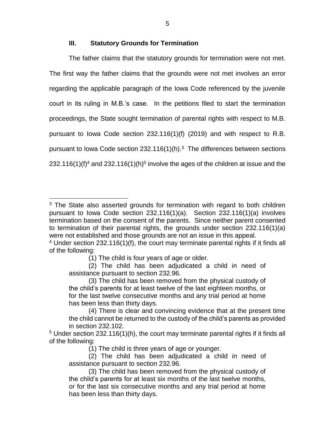## **III. Statutory Grounds for Termination**

The father claims that the statutory grounds for termination were not met. The first way the father claims that the grounds were not met involves an error regarding the applicable paragraph of the Iowa Code referenced by the juvenile court in its ruling in M.B.'s case. In the petitions filed to start the termination proceedings, the State sought termination of parental rights with respect to M.B. pursuant to Iowa Code section 232.116(1)(f) (2019) and with respect to R.B. pursuant to lowa Code section  $232.116(1)$ (h).<sup>3</sup> The differences between sections 232.116(1)(f)<sup>4</sup> and 232.116(1)(h)<sup>5</sup> involve the ages of the children at issue and the

 $3$  The State also asserted grounds for termination with regard to both children pursuant to Iowa Code section 232.116(1)(a). Section 232.116(1)(a) involves termination based on the consent of the parents. Since neither parent consented to termination of their parental rights, the grounds under section 232.116(1)(a) were not established and those grounds are not an issue in this appeal.

 $4$  Under section 232.116(1)(f), the court may terminate parental rights if it finds all of the following:

<sup>(1)</sup> The child is four years of age or older.

<sup>(2)</sup> The child has been adjudicated a child in need of assistance pursuant to section 232.96.

<sup>(3)</sup> The child has been removed from the physical custody of the child's parents for at least twelve of the last eighteen months, or for the last twelve consecutive months and any trial period at home has been less than thirty days.

<sup>(4)</sup> There is clear and convincing evidence that at the present time the child cannot be returned to the custody of the child's parents as provided in section 232.102.

 $5$  Under section 232.116(1)(h), the court may terminate parental rights if it finds all of the following:

<sup>(1)</sup> The child is three years of age or younger.

<sup>(2)</sup> The child has been adjudicated a child in need of assistance pursuant to section 232.96.

<sup>(3)</sup> The child has been removed from the physical custody of the child's parents for at least six months of the last twelve months, or for the last six consecutive months and any trial period at home has been less than thirty days.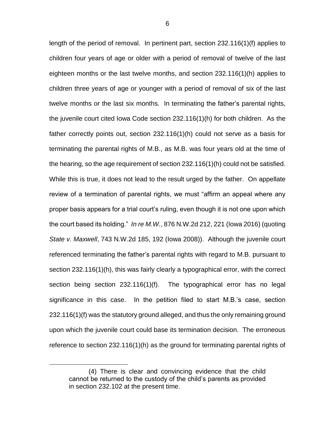length of the period of removal. In pertinent part, section 232.116(1)(f) applies to children four years of age or older with a period of removal of twelve of the last eighteen months or the last twelve months, and section 232.116(1)(h) applies to children three years of age or younger with a period of removal of six of the last twelve months or the last six months. In terminating the father's parental rights, the juvenile court cited Iowa Code section 232.116(1)(h) for both children. As the father correctly points out, section 232.116(1)(h) could not serve as a basis for terminating the parental rights of M.B., as M.B. was four years old at the time of the hearing, so the age requirement of section 232.116(1)(h) could not be satisfied. While this is true, it does not lead to the result urged by the father. On appellate review of a termination of parental rights, we must "affirm an appeal where any proper basis appears for a trial court's ruling, even though it is not one upon which the court based its holding." *In re M.W.*, 876 N.W.2d 212, 221 (Iowa 2016) (quoting *State v. Maxwell*, 743 N.W.2d 185, 192 (Iowa 2008)). Although the juvenile court referenced terminating the father's parental rights with regard to M.B. pursuant to section 232.116(1)(h), this was fairly clearly a typographical error, with the correct section being section 232.116(1)(f). The typographical error has no legal significance in this case. In the petition filed to start M.B.'s case, section 232.116(1)(f) was the statutory ground alleged, and thus the only remaining ground upon which the juvenile court could base its termination decision. The erroneous reference to section 232.116(1)(h) as the ground for terminating parental rights of

<sup>(4)</sup> There is clear and convincing evidence that the child cannot be returned to the custody of the child's parents as provided in section 232.102 at the present time.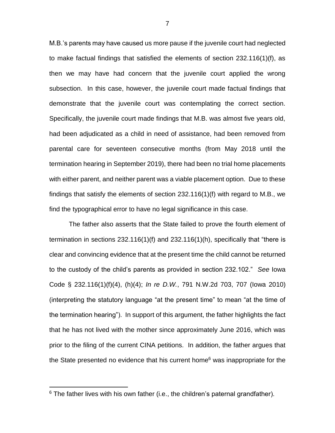M.B.'s parents may have caused us more pause if the juvenile court had neglected to make factual findings that satisfied the elements of section 232.116(1)(f), as then we may have had concern that the juvenile court applied the wrong subsection. In this case, however, the juvenile court made factual findings that demonstrate that the juvenile court was contemplating the correct section. Specifically, the juvenile court made findings that M.B. was almost five years old, had been adjudicated as a child in need of assistance, had been removed from parental care for seventeen consecutive months (from May 2018 until the termination hearing in September 2019), there had been no trial home placements with either parent, and neither parent was a viable placement option. Due to these findings that satisfy the elements of section 232.116(1)(f) with regard to M.B., we find the typographical error to have no legal significance in this case.

The father also asserts that the State failed to prove the fourth element of termination in sections 232.116(1)(f) and 232.116(1)(h), specifically that "there is clear and convincing evidence that at the present time the child cannot be returned to the custody of the child's parents as provided in section 232.102." *See* Iowa Code § 232.116(1)(f)(4), (h)(4); *In re D.W.*, 791 N.W.2d 703, 707 (Iowa 2010) (interpreting the statutory language "at the present time" to mean "at the time of the termination hearing"). In support of this argument, the father highlights the fact that he has not lived with the mother since approximately June 2016, which was prior to the filing of the current CINA petitions. In addition, the father argues that the State presented no evidence that his current home<sup>6</sup> was inappropriate for the

 $6$  The father lives with his own father (i.e., the children's paternal grandfather).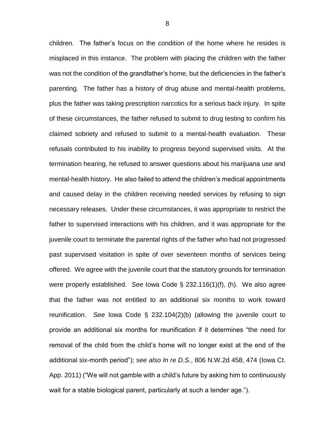children. The father's focus on the condition of the home where he resides is misplaced in this instance. The problem with placing the children with the father was not the condition of the grandfather's home, but the deficiencies in the father's parenting. The father has a history of drug abuse and mental-health problems, plus the father was taking prescription narcotics for a serious back injury. In spite of these circumstances, the father refused to submit to drug testing to confirm his claimed sobriety and refused to submit to a mental-health evaluation. These refusals contributed to his inability to progress beyond supervised visits. At the termination hearing, he refused to answer questions about his marijuana use and mental-health history. He also failed to attend the children's medical appointments and caused delay in the children receiving needed services by refusing to sign necessary releases. Under these circumstances, it was appropriate to restrict the father to supervised interactions with his children, and it was appropriate for the juvenile court to terminate the parental rights of the father who had not progressed past supervised visitation in spite of over seventeen months of services being offered. We agree with the juvenile court that the statutory grounds for termination were properly established. *See* Iowa Code § 232.116(1)(f), (h). We also agree that the father was not entitled to an additional six months to work toward reunification. *See* Iowa Code § 232.104(2)(b) (allowing the juvenile court to provide an additional six months for reunification if it determines "the need for removal of the child from the child's home will no longer exist at the end of the additional six-month period"); *see also In re D.S.*, 806 N.W.2d 458, 474 (Iowa Ct. App. 2011) ("We will not gamble with a child's future by asking him to continuously wait for a stable biological parent, particularly at such a tender age.").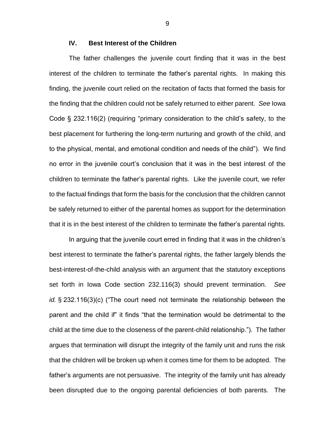# **IV. Best Interest of the Children**

The father challenges the juvenile court finding that it was in the best interest of the children to terminate the father's parental rights. In making this finding, the juvenile court relied on the recitation of facts that formed the basis for the finding that the children could not be safely returned to either parent. *See* Iowa Code § 232.116(2) (requiring "primary consideration to the child's safety, to the best placement for furthering the long-term nurturing and growth of the child, and to the physical, mental, and emotional condition and needs of the child"). We find no error in the juvenile court's conclusion that it was in the best interest of the children to terminate the father's parental rights. Like the juvenile court, we refer to the factual findings that form the basis for the conclusion that the children cannot be safely returned to either of the parental homes as support for the determination that it is in the best interest of the children to terminate the father's parental rights.

In arguing that the juvenile court erred in finding that it was in the children's best interest to terminate the father's parental rights, the father largely blends the best-interest-of-the-child analysis with an argument that the statutory exceptions set forth in Iowa Code section 232.116(3) should prevent termination. *See id.* § 232.116(3)(c) ("The court need not terminate the relationship between the parent and the child if" it finds "that the termination would be detrimental to the child at the time due to the closeness of the parent-child relationship."). The father argues that termination will disrupt the integrity of the family unit and runs the risk that the children will be broken up when it comes time for them to be adopted. The father's arguments are not persuasive. The integrity of the family unit has already been disrupted due to the ongoing parental deficiencies of both parents. The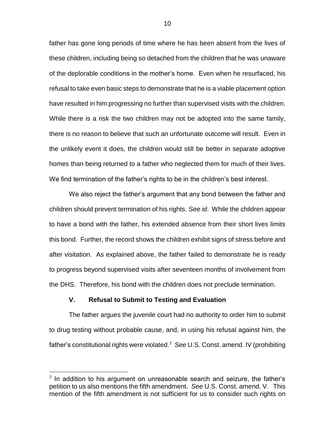father has gone long periods of time where he has been absent from the lives of these children, including being so detached from the children that he was unaware of the deplorable conditions in the mother's home. Even when he resurfaced, his refusal to take even basic steps to demonstrate that he is a viable placement option have resulted in him progressing no further than supervised visits with the children. While there is a risk the two children may not be adopted into the same family, there is no reason to believe that such an unfortunate outcome will result. Even in the unlikely event it does, the children would still be better in separate adoptive homes than being returned to a father who neglected them for much of their lives. We find termination of the father's rights to be in the children's best interest.

We also reject the father's argument that any bond between the father and children should prevent termination of his rights. *See id*. While the children appear to have a bond with the father, his extended absence from their short lives limits this bond. Further, the record shows the children exhibit signs of stress before and after visitation. As explained above, the father failed to demonstrate he is ready to progress beyond supervised visits after seventeen months of involvement from the DHS. Therefore, his bond with the children does not preclude termination.

#### **V. Refusal to Submit to Testing and Evaluation**

 $\overline{a}$ 

The father argues the juvenile court had no authority to order him to submit to drug testing without probable cause, and, in using his refusal against him, the father's constitutional rights were violated.<sup>7</sup> *See* U.S. Const. amend. IV (prohibiting

 $7$  In addition to his argument on unreasonable search and seizure, the father's petition to us also mentions the fifth amendment. *See* U.S. Const. amend. V. This mention of the fifth amendment is not sufficient for us to consider such rights on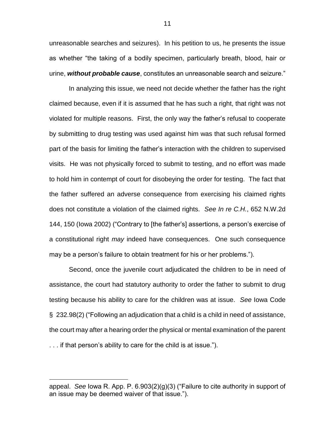unreasonable searches and seizures). In his petition to us, he presents the issue as whether "the taking of a bodily specimen, particularly breath, blood, hair or urine, *without probable cause*, constitutes an unreasonable search and seizure."

In analyzing this issue, we need not decide whether the father has the right claimed because, even if it is assumed that he has such a right, that right was not violated for multiple reasons. First, the only way the father's refusal to cooperate by submitting to drug testing was used against him was that such refusal formed part of the basis for limiting the father's interaction with the children to supervised visits. He was not physically forced to submit to testing, and no effort was made to hold him in contempt of court for disobeying the order for testing. The fact that the father suffered an adverse consequence from exercising his claimed rights does not constitute a violation of the claimed rights. *See In re C.H.*, 652 N.W.2d 144, 150 (Iowa 2002) ("Contrary to [the father's] assertions, a person's exercise of a constitutional right *may* indeed have consequences. One such consequence may be a person's failure to obtain treatment for his or her problems.").

Second, once the juvenile court adjudicated the children to be in need of assistance, the court had statutory authority to order the father to submit to drug testing because his ability to care for the children was at issue. *See* Iowa Code § 232.98(2) ("Following an adjudication that a child is a child in need of assistance, the court may after a hearing order the physical or mental examination of the parent . . . if that person's ability to care for the child is at issue.").

appeal. *See* Iowa R. App. P. 6.903(2)(g)(3) ("Failure to cite authority in support of an issue may be deemed waiver of that issue.").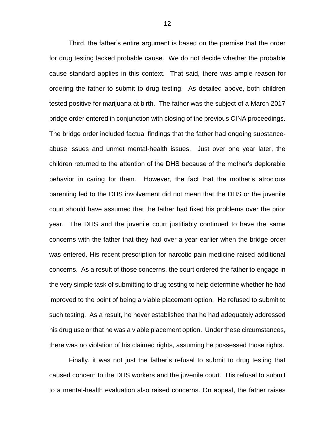Third, the father's entire argument is based on the premise that the order for drug testing lacked probable cause. We do not decide whether the probable cause standard applies in this context. That said, there was ample reason for ordering the father to submit to drug testing. As detailed above, both children tested positive for marijuana at birth. The father was the subject of a March 2017 bridge order entered in conjunction with closing of the previous CINA proceedings. The bridge order included factual findings that the father had ongoing substanceabuse issues and unmet mental-health issues. Just over one year later, the children returned to the attention of the DHS because of the mother's deplorable behavior in caring for them. However, the fact that the mother's atrocious parenting led to the DHS involvement did not mean that the DHS or the juvenile court should have assumed that the father had fixed his problems over the prior year. The DHS and the juvenile court justifiably continued to have the same concerns with the father that they had over a year earlier when the bridge order was entered. His recent prescription for narcotic pain medicine raised additional concerns. As a result of those concerns, the court ordered the father to engage in the very simple task of submitting to drug testing to help determine whether he had improved to the point of being a viable placement option. He refused to submit to such testing. As a result, he never established that he had adequately addressed his drug use or that he was a viable placement option. Under these circumstances, there was no violation of his claimed rights, assuming he possessed those rights.

Finally, it was not just the father's refusal to submit to drug testing that caused concern to the DHS workers and the juvenile court. His refusal to submit to a mental-health evaluation also raised concerns. On appeal, the father raises